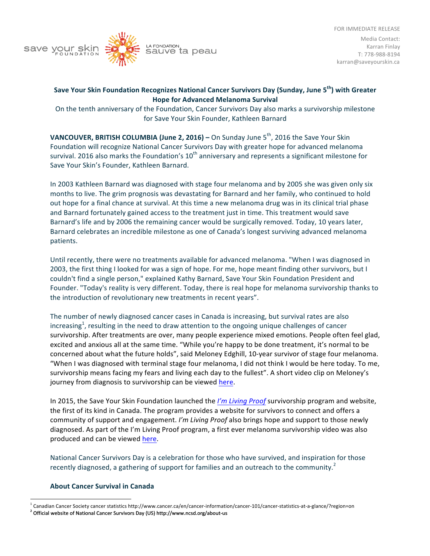



## Save Your Skin Foundation Recognizes National Cancer Survivors Day (Sunday, June 5<sup>th</sup>) with Greater **Hope for Advanced Melanoma Survival**

On the tenth anniversary of the Foundation, Cancer Survivors Day also marks a survivorship milestone for Save Your Skin Founder, Kathleen Barnard

**VANCOUVER, BRITISH COLUMBIA (June 2, 2016) – On Sunday June 5<sup>th</sup>, 2016 the Save Your Skin** Foundation will recognize National Cancer Survivors Day with greater hope for advanced melanoma survival. 2016 also marks the Foundation's  $10^{th}$  anniversary and represents a significant milestone for Save Your Skin's Founder, Kathleen Barnard.

In 2003 Kathleen Barnard was diagnosed with stage four melanoma and by 2005 she was given only six months to live. The grim prognosis was devastating for Barnard and her family, who continued to hold out hope for a final chance at survival. At this time a new melanoma drug was in its clinical trial phase and Barnard fortunately gained access to the treatment just in time. This treatment would save Barnard's life and by 2006 the remaining cancer would be surgically removed. Today, 10 years later, Barnard celebrates an incredible milestone as one of Canada's longest surviving advanced melanoma patients.

Until recently, there were no treatments available for advanced melanoma. "When I was diagnosed in 2003, the first thing I looked for was a sign of hope. For me, hope meant finding other survivors, but I couldn't find a single person," explained Kathy Barnard, Save Your Skin Foundation President and Founder. "Today's reality is very different. Today, there is real hope for melanoma survivorship thanks to the introduction of revolutionary new treatments in recent years".

The number of newly diagnosed cancer cases in Canada is increasing, but survival rates are also increasing<sup>1</sup>, resulting in the need to draw attention to the ongoing unique challenges of cancer survivorship. After treatments are over, many people experience mixed emotions. People often feel glad, excited and anxious all at the same time. "While you're happy to be done treatment, it's normal to be concerned about what the future holds", said Meloney Edghill, 10-year survivor of stage four melanoma. "When I was diagnosed with terminal stage four melanoma, I did not think I would be here today. To me, survivorship means facing my fears and living each day to the fullest". A short video clip on Meloney's journey from diagnosis to survivorship can be viewed here.

In 2015, the Save Your Skin Foundation launched the *I'm Living Proof* survivorship program and website, the first of its kind in Canada. The program provides a website for survivors to connect and offers a community of support and engagement. *I'm Living Proof* also brings hope and support to those newly diagnosed. As part of the I'm Living Proof program, a first ever melanoma survivorship video was also produced and can be viewed here.

National Cancer Survivors Day is a celebration for those who have survived, and inspiration for those recently diagnosed, a gathering of support for families and an outreach to the community.<sup>2</sup>

## **About Cancer Survival in Canada**

Canadian Cancer Society cancer statistics http://www.cancer.ca/en/cancer-information/cancer-101/cancer-statistics-at-a-glance/?region=on  $2$  Official website of National Cancer Survivors Day (US) http://www.ncsd.org/about-us